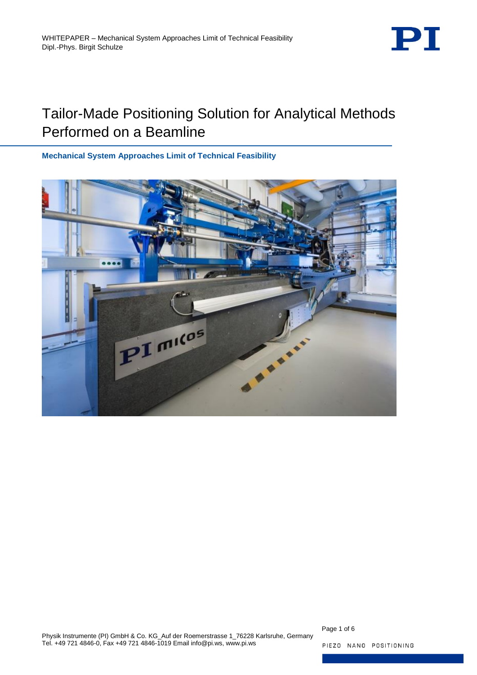

# Tailor-Made Positioning Solution for Analytical Methods Performed on a Beamline

**Mechanical System Approaches Limit of Technical Feasibility**



Page 1 of 6

PIEZO NANO POSITIONING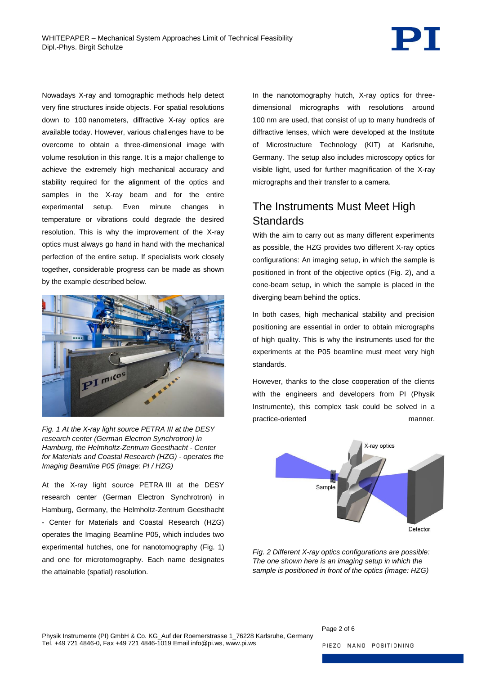

Nowadays X-ray and tomographic methods help detect very fine structures inside objects. For spatial resolutions down to 100 nanometers, diffractive X-ray optics are available today. However, various challenges have to be overcome to obtain a three-dimensional image with volume resolution in this range. It is a major challenge to achieve the extremely high mechanical accuracy and stability required for the alignment of the optics and samples in the X-ray beam and for the entire experimental setup. Even minute changes in temperature or vibrations could degrade the desired resolution. This is why the improvement of the X-ray optics must always go hand in hand with the mechanical perfection of the entire setup. If specialists work closely together, considerable progress can be made as shown by the example described below.



*Fig. 1 At the X-ray light source PETRA III at the DESY research center (German Electron Synchrotron) in Hamburg, the Helmholtz-Zentrum Geesthacht - Center for Materials and Coastal Research (HZG) - operates the Imaging Beamline P05 (image: PI / HZG)*

<span id="page-1-0"></span>At the X-ray light source PETRA III at the DESY research center (German Electron Synchrotron) in Hamburg, Germany, the Helmholtz-Zentrum Geesthacht - Center for Materials and Coastal Research (HZG) operates the Imaging Beamline P05, which includes two experimental hutches, one for nanotomography [\(Fig. 1\)](#page-1-0) and one for microtomography. Each name designates the attainable (spatial) resolution.

In the nanotomography hutch, X-ray optics for threedimensional micrographs with resolutions around 100 nm are used, that consist of up to many hundreds of diffractive lenses, which were developed at the Institute of Microstructure Technology (KIT) at Karlsruhe, Germany. The setup also includes microscopy optics for visible light, used for further magnification of the X-ray micrographs and their transfer to a camera.

## The Instruments Must Meet High **Standards**

With the aim to carry out as many different experiments as possible, the HZG provides two different X-ray optics configurations: An imaging setup, in which the sample is positioned in front of the objective optics [\(Fig. 2\)](#page-1-1), and a cone-beam setup, in which the sample is placed in the diverging beam behind the optics.

In both cases, high mechanical stability and precision positioning are essential in order to obtain micrographs of high quality. This is why the instruments used for the experiments at the P05 beamline must meet very high standards.

However, thanks to the close cooperation of the clients with the engineers and developers from PI (Physik Instrumente), this complex task could be solved in a practice-oriented manner.



<span id="page-1-1"></span>*Fig. 2 Different X-ray optics configurations are possible: The one shown here is an imaging setup in which the sample is positioned in front of the optics (image: HZG)*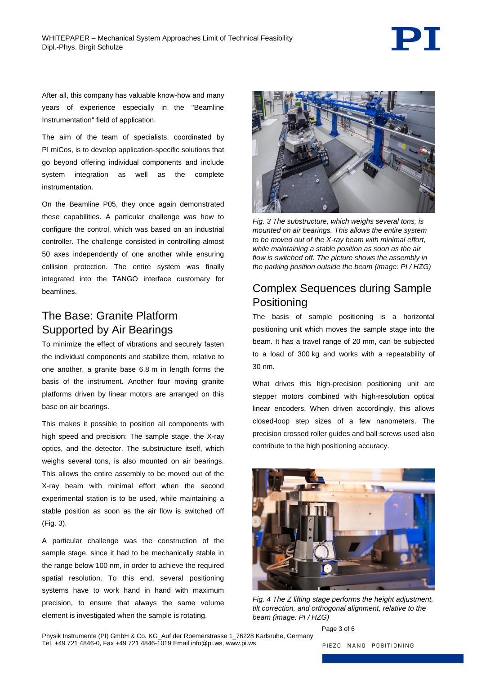

After all, this company has valuable know-how and many years of experience especially in the "Beamline Instrumentation" field of application.

The aim of the team of specialists, coordinated by PI miCos, is to develop application-specific solutions that go beyond offering individual components and include system integration as well as the complete instrumentation.

On the Beamline P05, they once again demonstrated these capabilities. A particular challenge was how to configure the control, which was based on an industrial controller. The challenge consisted in controlling almost 50 axes independently of one another while ensuring collision protection. The entire system was finally integrated into the TANGO interface customary for beamlines.

#### The Base: Granite Platform Supported by Air Bearings

To minimize the effect of vibrations and securely fasten the individual components and stabilize them, relative to one another, a granite base 6.8 m in length forms the basis of the instrument. Another four moving granite platforms driven by linear motors are arranged on this base on air bearings.

This makes it possible to position all components with high speed and precision: The sample stage, the X-ray optics, and the detector. The substructure itself, which weighs several tons, is also mounted on air bearings. This allows the entire assembly to be moved out of the X-ray beam with minimal effort when the second experimental station is to be used, while maintaining a stable position as soon as the air flow is switched off [\(Fig. 3\)](#page-2-0).

A particular challenge was the construction of the sample stage, since it had to be mechanically stable in the range below 100 nm, in order to achieve the required spatial resolution. To this end, several positioning systems have to work hand in hand with maximum precision, to ensure that always the same volume element is investigated when the sample is rotating.



*Fig. 3 The substructure, which weighs several tons, is mounted on air bearings. This allows the entire system to be moved out of the X-ray beam with minimal effort, while maintaining a stable position as soon as the air flow is switched off. The picture shows the assembly in the parking position outside the beam (image: PI / HZG)*

### <span id="page-2-0"></span>Complex Sequences during Sample Positioning

The basis of sample positioning is a horizontal positioning unit which moves the sample stage into the beam. It has a travel range of 20 mm, can be subjected to a load of 300 kg and works with a repeatability of 30 nm.

What drives this high-precision positioning unit are stepper motors combined with high-resolution optical linear encoders. When driven accordingly, this allows closed-loop step sizes of a few nanometers. The precision crossed roller guides and ball screws used also contribute to the high positioning accuracy.

<span id="page-2-1"></span>

*Fig. 4 The Z lifting stage performs the height adjustment, tilt correction, and orthogonal alignment, relative to the beam (image: PI / HZG)*

Physik Instrumente (PI) GmbH & Co. KG\_Auf der Roemerstrasse 1\_76228 Karlsruhe, Germany Tel. +49 721 4846-0, Fax +49 721 4846-1019 Email info@pi.ws, www.pi.ws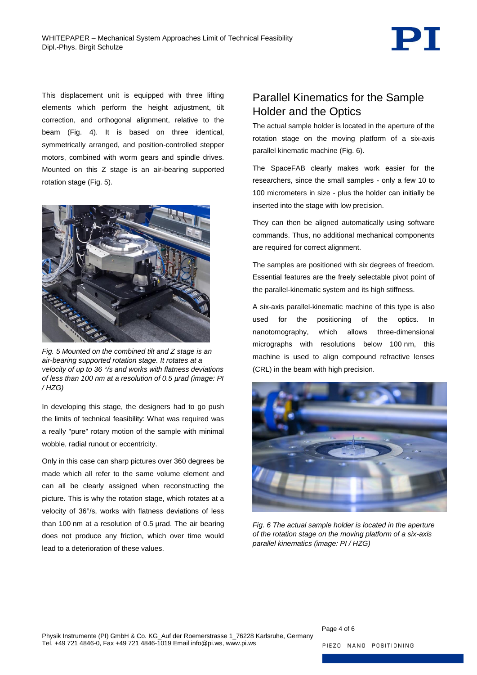

This displacement unit is equipped with three lifting elements which perform the height adjustment, tilt correction, and orthogonal alignment, relative to the beam [\(Fig. 4\)](#page-2-1). It is based on three identical, symmetrically arranged, and position-controlled stepper motors, combined with worm gears and spindle drives. Mounted on this Z stage is an air-bearing supported rotation stage [\(Fig. 5\)](#page-3-0).



*Fig. 5 Mounted on the combined tilt and Z stage is an air-bearing supported rotation stage. It rotates at a velocity of up to 36 °/s and works with flatness deviations of less than 100 nm at a resolution of 0.5 µrad (image: PI / HZG)*

<span id="page-3-0"></span>In developing this stage, the designers had to go push the limits of technical feasibility: What was required was a really "pure" rotary motion of the sample with minimal wobble, radial runout or eccentricity.

Only in this case can sharp pictures over 360 degrees be made which all refer to the same volume element and can all be clearly assigned when reconstructing the picture. This is why the rotation stage, which rotates at a velocity of 36°/s, works with flatness deviations of less than 100 nm at a resolution of 0.5 µrad. The air bearing does not produce any friction, which over time would lead to a deterioration of these values.

#### Parallel Kinematics for the Sample Holder and the Optics

The actual sample holder is located in the aperture of the rotation stage on the moving platform of a six-axis parallel kinematic machine [\(Fig. 6\)](#page-3-1).

The SpaceFAB clearly makes work easier for the researchers, since the small samples - only a few 10 to 100 micrometers in size - plus the holder can initially be inserted into the stage with low precision.

They can then be aligned automatically using software commands. Thus, no additional mechanical components are required for correct alignment.

The samples are positioned with six degrees of freedom. Essential features are the freely selectable pivot point of the parallel-kinematic system and its high stiffness.

A six-axis parallel-kinematic machine of this type is also used for the positioning of the optics. In nanotomography, which allows three-dimensional micrographs with resolutions below 100 nm, this machine is used to align compound refractive lenses (CRL) in the beam with high precision.

<span id="page-3-1"></span>

*Fig. 6 The actual sample holder is located in the aperture of the rotation stage on the moving platform of a six-axis parallel kinematics (image: PI / HZG)*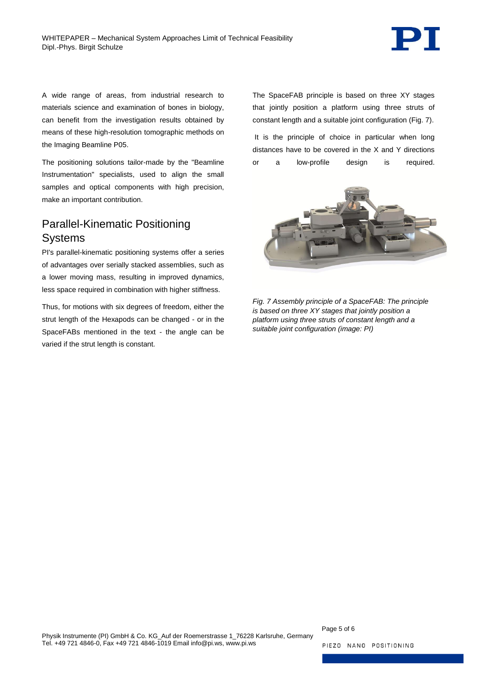

A wide range of areas, from industrial research to materials science and examination of bones in biology, can benefit from the investigation results obtained by means of these high-resolution tomographic methods on the Imaging Beamline P05.

The positioning solutions tailor-made by the "Beamline Instrumentation" specialists, used to align the small samples and optical components with high precision, make an important contribution.

#### Parallel-Kinematic Positioning **Systems**

PI's parallel-kinematic positioning systems offer a series of advantages over serially stacked assemblies, such as a lower moving mass, resulting in improved dynamics, less space required in combination with higher stiffness.

Thus, for motions with six degrees of freedom, either the strut length of the Hexapods can be changed - or in the SpaceFABs mentioned in the text - the angle can be varied if the strut length is constant.

The SpaceFAB principle is based on three XY stages that jointly position a platform using three struts of constant length and a suitable joint configuration [\(Fig. 7\)](#page-4-0).

It is the principle of choice in particular when long distances have to be covered in the X and Y directions or a low-profile design is required.



<span id="page-4-0"></span>*Fig. 7 Assembly principle of a SpaceFAB: The principle is based on three XY stages that jointly position a platform using three struts of constant length and a suitable joint configuration (image: PI)*